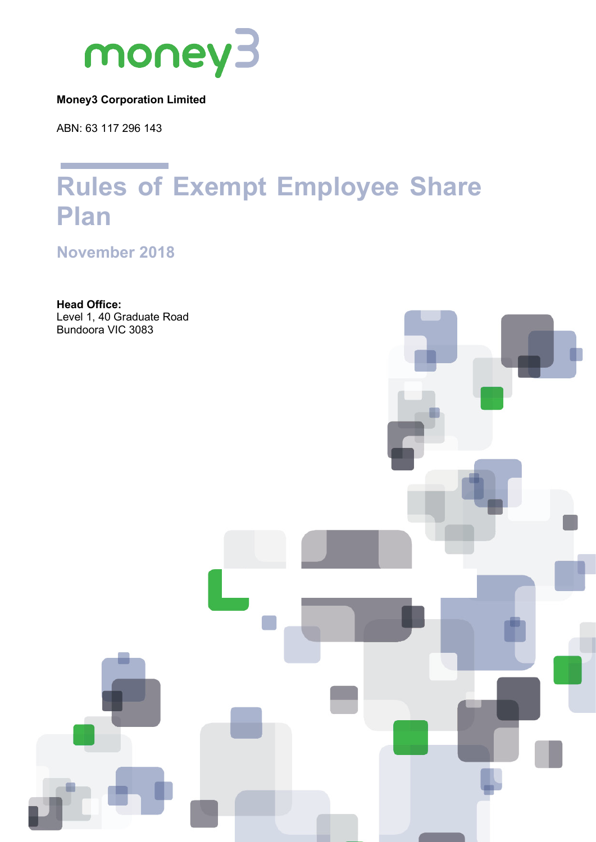

#### **Money3 Corporation Limited**

ABN: 63 117 296 143

# **Rules of Exempt Employee Share Plan**

**November 2018**

**Head Office:** Level 1, 40 Graduate Road Bundoora VIC 3083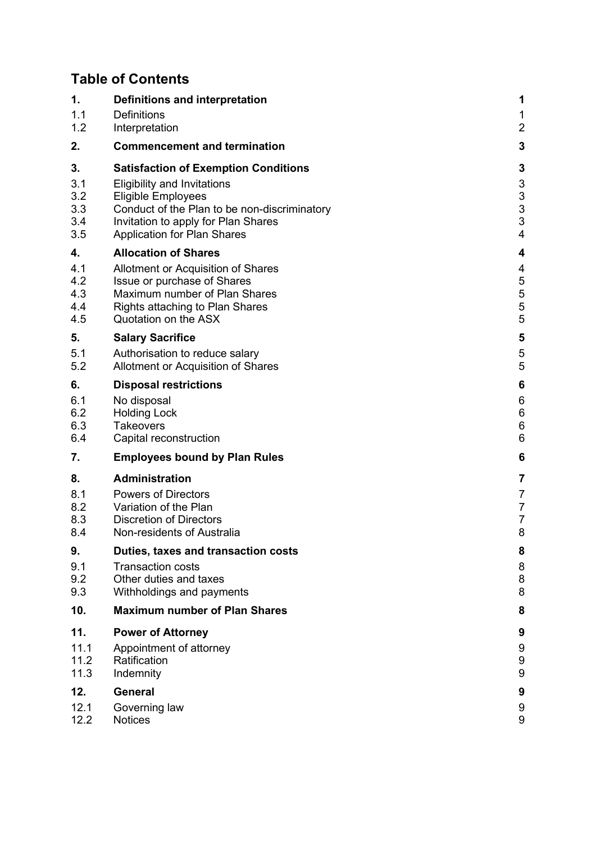# **Table of Contents**

| 1.   | Definitions and interpretation               | 1              |
|------|----------------------------------------------|----------------|
| 1.1  | <b>Definitions</b>                           | 1              |
| 1.2  | Interpretation                               | $\overline{a}$ |
| 2.   | <b>Commencement and termination</b>          | 3              |
| 3.   | <b>Satisfaction of Exemption Conditions</b>  | 3              |
| 3.1  | <b>Eligibility and Invitations</b>           | 3              |
| 3.2  | Eligible Employees                           | 3              |
| 3.3  | Conduct of the Plan to be non-discriminatory | 3              |
| 3.4  | Invitation to apply for Plan Shares          | 3              |
| 3.5  | <b>Application for Plan Shares</b>           | $\overline{4}$ |
| 4.   | <b>Allocation of Shares</b>                  | 4              |
| 4.1  | Allotment or Acquisition of Shares           | 4              |
| 4.2  | Issue or purchase of Shares                  | 5              |
| 4.3  | Maximum number of Plan Shares                | 5              |
| 4.4  | <b>Rights attaching to Plan Shares</b>       | 5              |
| 4.5  | Quotation on the ASX                         | 5              |
| 5.   | <b>Salary Sacrifice</b>                      | 5              |
| 5.1  | Authorisation to reduce salary               | 5              |
| 5.2  | Allotment or Acquisition of Shares           | 5              |
| 6.   | <b>Disposal restrictions</b>                 | 6              |
| 6.1  | No disposal                                  | 6              |
| 6.2  | <b>Holding Lock</b>                          | 6              |
| 6.3  | <b>Takeovers</b>                             | 6              |
| 6.4  | Capital reconstruction                       | 6              |
| 7.   | <b>Employees bound by Plan Rules</b>         | 6              |
| 8.   | <b>Administration</b>                        | 7              |
| 8.1  | <b>Powers of Directors</b>                   | 7              |
| 8.2  | Variation of the Plan                        | 7              |
| 8.3  | <b>Discretion of Directors</b>               | $\overline{7}$ |
| 8.4  | Non-residents of Australia                   | 8              |
| 9.   | Duties, taxes and transaction costs          | 8              |
| 9.1  | <b>Transaction costs</b>                     | 8              |
| 9.2  | Other duties and taxes                       | 8              |
| 9.3  | Withholdings and payments                    | 8              |
| 10.  | <b>Maximum number of Plan Shares</b>         | 8              |
| 11.  | <b>Power of Attorney</b>                     | 9              |
| 11.1 | Appointment of attorney                      | 9              |
| 11.2 | Ratification                                 | 9              |
| 11.3 | Indemnity                                    | 9              |
| 12.  | <b>General</b>                               | 9              |
| 12.1 | Governing law                                | 9              |
| 12.2 | <b>Notices</b>                               | 9              |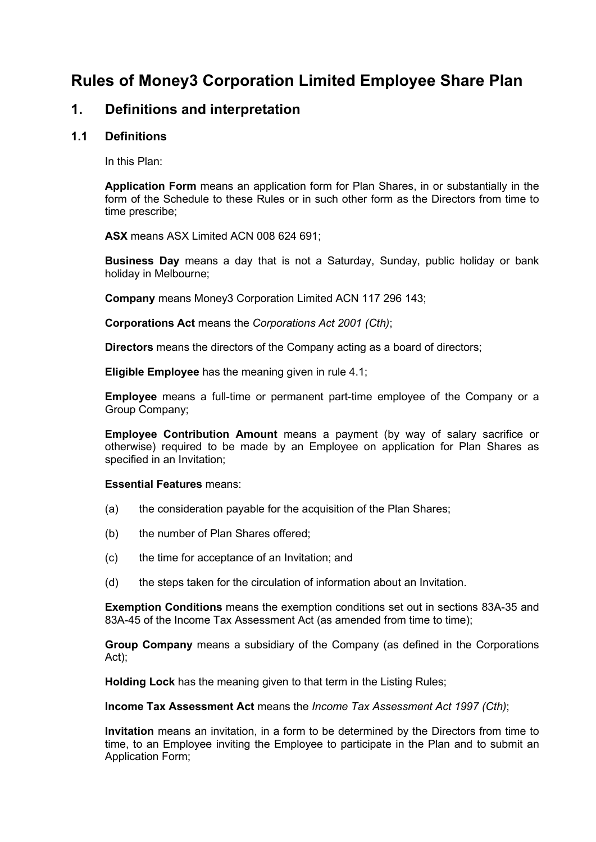## **Rules of Money3 Corporation Limited Employee Share Plan**

## **1. Definitions and interpretation**

#### **1.1 Definitions**

In this Plan:

**Application Form** means an application form for Plan Shares, in or substantially in the form of the Schedule to these Rules or in such other form as the Directors from time to time prescribe;

**ASX** means ASX Limited ACN 008 624 691;

**Business Day** means a day that is not a Saturday, Sunday, public holiday or bank holiday in Melbourne;

**Company** means Money3 Corporation Limited ACN 117 296 143;

**Corporations Act** means the *Corporations Act 2001 (Cth)*;

**Directors** means the directors of the Company acting as a board of directors;

**Eligible Employee** has the meaning given in rule 4.1;

**Employee** means a full-time or permanent part-time employee of the Company or a Group Company;

**Employee Contribution Amount** means a payment (by way of salary sacrifice or otherwise) required to be made by an Employee on application for Plan Shares as specified in an Invitation;

#### **Essential Features** means:

- (a) the consideration payable for the acquisition of the Plan Shares;
- (b) the number of Plan Shares offered;
- (c) the time for acceptance of an Invitation; and
- (d) the steps taken for the circulation of information about an Invitation.

**Exemption Conditions** means the exemption conditions set out in sections 83A-35 and 83A-45 of the Income Tax Assessment Act (as amended from time to time);

**Group Company** means a subsidiary of the Company (as defined in the Corporations Act);

**Holding Lock** has the meaning given to that term in the Listing Rules;

**Income Tax Assessment Act** means the *Income Tax Assessment Act 1997 (Cth)*;

**Invitation** means an invitation, in a form to be determined by the Directors from time to time, to an Employee inviting the Employee to participate in the Plan and to submit an Application Form;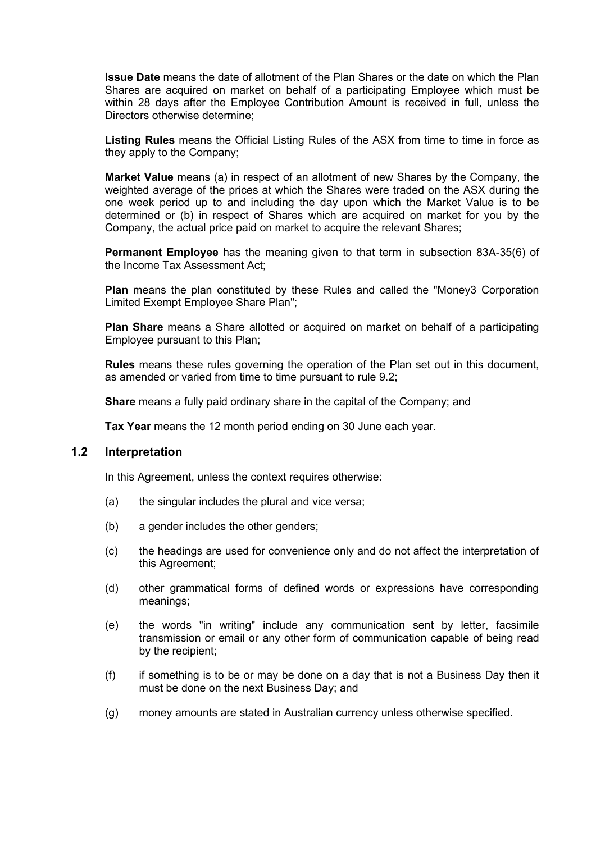**Issue Date** means the date of allotment of the Plan Shares or the date on which the Plan Shares are acquired on market on behalf of a participating Employee which must be within 28 days after the Employee Contribution Amount is received in full, unless the Directors otherwise determine;

**Listing Rules** means the Official Listing Rules of the ASX from time to time in force as they apply to the Company;

**Market Value** means (a) in respect of an allotment of new Shares by the Company, the weighted average of the prices at which the Shares were traded on the ASX during the one week period up to and including the day upon which the Market Value is to be determined or (b) in respect of Shares which are acquired on market for you by the Company, the actual price paid on market to acquire the relevant Shares;

**Permanent Employee** has the meaning given to that term in subsection 83A-35(6) of the Income Tax Assessment Act;

**Plan** means the plan constituted by these Rules and called the "Money3 Corporation Limited Exempt Employee Share Plan";

**Plan Share** means a Share allotted or acquired on market on behalf of a participating Employee pursuant to this Plan;

**Rules** means these rules governing the operation of the Plan set out in this document, as amended or varied from time to time pursuant to rule 9.2;

**Share** means a fully paid ordinary share in the capital of the Company; and

**Tax Year** means the 12 month period ending on 30 June each year.

#### **1.2 Interpretation**

In this Agreement, unless the context requires otherwise:

- (a) the singular includes the plural and vice versa;
- (b) a gender includes the other genders;
- (c) the headings are used for convenience only and do not affect the interpretation of this Agreement;
- (d) other grammatical forms of defined words or expressions have corresponding meanings;
- (e) the words "in writing" include any communication sent by letter, facsimile transmission or email or any other form of communication capable of being read by the recipient;
- (f) if something is to be or may be done on a day that is not a Business Day then it must be done on the next Business Day; and
- (g) money amounts are stated in Australian currency unless otherwise specified.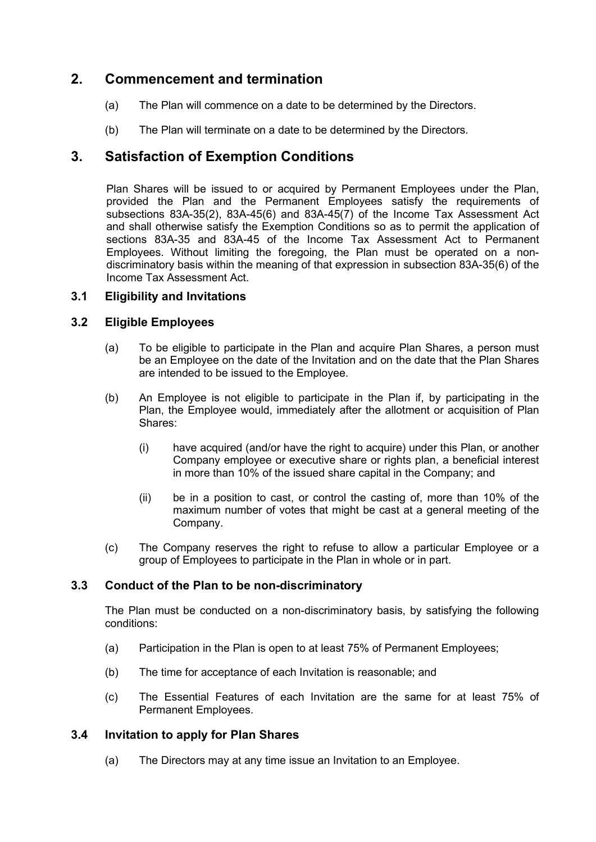## **2. Commencement and termination**

- (a) The Plan will commence on a date to be determined by the Directors.
- (b) The Plan will terminate on a date to be determined by the Directors.

## **3. Satisfaction of Exemption Conditions**

Plan Shares will be issued to or acquired by Permanent Employees under the Plan, provided the Plan and the Permanent Employees satisfy the requirements of subsections 83A-35(2), 83A-45(6) and 83A-45(7) of the Income Tax Assessment Act and shall otherwise satisfy the Exemption Conditions so as to permit the application of sections 83A-35 and 83A-45 of the Income Tax Assessment Act to Permanent Employees. Without limiting the foregoing, the Plan must be operated on a nondiscriminatory basis within the meaning of that expression in subsection 83A-35(6) of the Income Tax Assessment Act.

#### **3.1 Eligibility and Invitations**

#### **3.2 Eligible Employees**

- (a) To be eligible to participate in the Plan and acquire Plan Shares, a person must be an Employee on the date of the Invitation and on the date that the Plan Shares are intended to be issued to the Employee.
- (b) An Employee is not eligible to participate in the Plan if, by participating in the Plan, the Employee would, immediately after the allotment or acquisition of Plan Shares:
	- (i) have acquired (and/or have the right to acquire) under this Plan, or another Company employee or executive share or rights plan, a beneficial interest in more than 10% of the issued share capital in the Company; and
	- (ii) be in a position to cast, or control the casting of, more than 10% of the maximum number of votes that might be cast at a general meeting of the Company.
- (c) The Company reserves the right to refuse to allow a particular Employee or a group of Employees to participate in the Plan in whole or in part.

#### **3.3 Conduct of the Plan to be non-discriminatory**

The Plan must be conducted on a non-discriminatory basis, by satisfying the following conditions:

- (a) Participation in the Plan is open to at least 75% of Permanent Employees;
- (b) The time for acceptance of each Invitation is reasonable; and
- (c) The Essential Features of each Invitation are the same for at least 75% of Permanent Employees.

#### **3.4 Invitation to apply for Plan Shares**

(a) The Directors may at any time issue an Invitation to an Employee.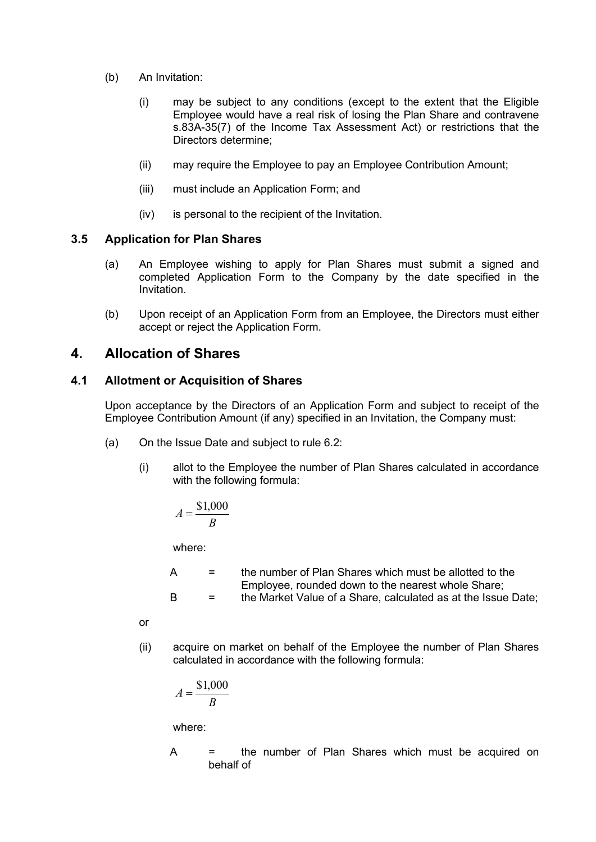- (b) An Invitation:
	- (i) may be subject to any conditions (except to the extent that the Eligible Employee would have a real risk of losing the Plan Share and contravene s.83A-35(7) of the Income Tax Assessment Act) or restrictions that the Directors determine;
	- (ii) may require the Employee to pay an Employee Contribution Amount;
	- (iii) must include an Application Form; and
	- (iv) is personal to the recipient of the Invitation.

#### **3.5 Application for Plan Shares**

- (a) An Employee wishing to apply for Plan Shares must submit a signed and completed Application Form to the Company by the date specified in the Invitation.
- (b) Upon receipt of an Application Form from an Employee, the Directors must either accept or reject the Application Form.

## **4. Allocation of Shares**

#### **4.1 Allotment or Acquisition of Shares**

Upon acceptance by the Directors of an Application Form and subject to receipt of the Employee Contribution Amount (if any) specified in an Invitation, the Company must:

- (a) On the Issue Date and subject to rule 6.2:
	- (i) allot to the Employee the number of Plan Shares calculated in accordance with the following formula:

$$
A = \frac{\$1,000}{B}
$$

where:

 $A =$  the number of Plan Shares which must be allotted to the Employee, rounded down to the nearest whole Share; B = the Market Value of a Share, calculated as at the Issue Date;

or

(ii) acquire on market on behalf of the Employee the number of Plan Shares calculated in accordance with the following formula:

$$
A = \frac{\$1,000}{B}
$$

where:

A = the number of Plan Shares which must be acquired on behalf of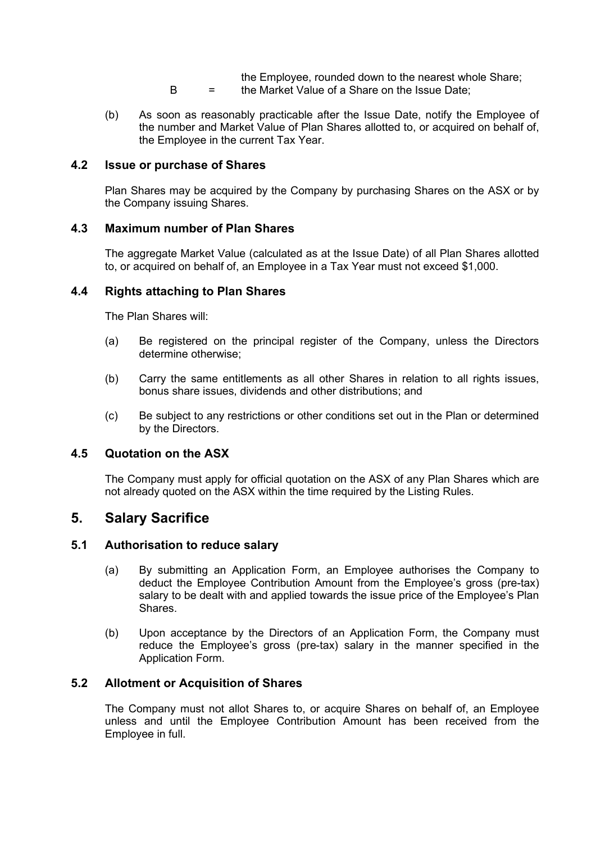- the Employee, rounded down to the nearest whole Share; B = the Market Value of a Share on the Issue Date;
- (b) As soon as reasonably practicable after the Issue Date, notify the Employee of the number and Market Value of Plan Shares allotted to, or acquired on behalf of, the Employee in the current Tax Year.

#### **4.2 Issue or purchase of Shares**

Plan Shares may be acquired by the Company by purchasing Shares on the ASX or by the Company issuing Shares.

#### **4.3 Maximum number of Plan Shares**

The aggregate Market Value (calculated as at the Issue Date) of all Plan Shares allotted to, or acquired on behalf of, an Employee in a Tax Year must not exceed \$1,000.

#### **4.4 Rights attaching to Plan Shares**

The Plan Shares will:

- (a) Be registered on the principal register of the Company, unless the Directors determine otherwise;
- (b) Carry the same entitlements as all other Shares in relation to all rights issues, bonus share issues, dividends and other distributions; and
- (c) Be subject to any restrictions or other conditions set out in the Plan or determined by the Directors.

#### **4.5 Quotation on the ASX**

The Company must apply for official quotation on the ASX of any Plan Shares which are not already quoted on the ASX within the time required by the Listing Rules.

## **5. Salary Sacrifice**

#### **5.1 Authorisation to reduce salary**

- (a) By submitting an Application Form, an Employee authorises the Company to deduct the Employee Contribution Amount from the Employee's gross (pre-tax) salary to be dealt with and applied towards the issue price of the Employee's Plan Shares.
- (b) Upon acceptance by the Directors of an Application Form, the Company must reduce the Employee's gross (pre-tax) salary in the manner specified in the Application Form.

#### **5.2 Allotment or Acquisition of Shares**

The Company must not allot Shares to, or acquire Shares on behalf of, an Employee unless and until the Employee Contribution Amount has been received from the Employee in full.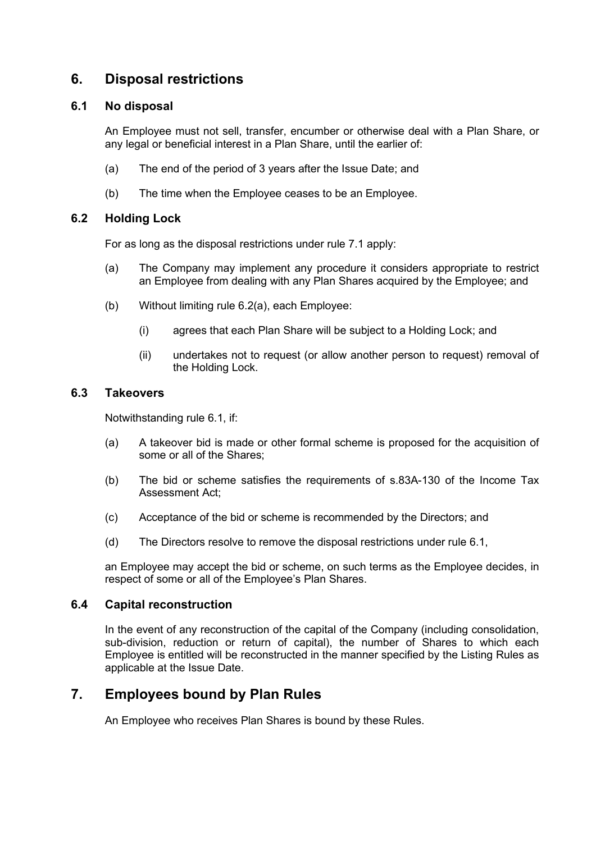## **6. Disposal restrictions**

#### <span id="page-7-1"></span>**6.1 No disposal**

An Employee must not sell, transfer, encumber or otherwise deal with a Plan Share, or any legal or beneficial interest in a Plan Share, until the earlier of:

- (a) The end of the period of 3 years after the Issue Date; and
- (b) The time when the Employee ceases to be an Employee.

#### **6.2 Holding Lock**

For as long as the disposal restrictions under rule 7.1 apply:

- <span id="page-7-0"></span>(a) The Company may implement any procedure it considers appropriate to restrict an Employee from dealing with any Plan Shares acquired by the Employee; and
- (b) Without limiting rule [6.2\(a\),](#page-7-0) each Employee:
	- (i) agrees that each Plan Share will be subject to a Holding Lock; and
	- (ii) undertakes not to request (or allow another person to request) removal of the Holding Lock.

#### **6.3 Takeovers**

Notwithstanding rule [6.1,](#page-7-1) if:

- (a) A takeover bid is made or other formal scheme is proposed for the acquisition of some or all of the Shares;
- (b) The bid or scheme satisfies the requirements of s.83A-130 of the Income Tax Assessment Act;
- (c) Acceptance of the bid or scheme is recommended by the Directors; and
- (d) The Directors resolve to remove the disposal restrictions under rule [6.1,](#page-7-1)

an Employee may accept the bid or scheme, on such terms as the Employee decides, in respect of some or all of the Employee's Plan Shares.

#### **6.4 Capital reconstruction**

In the event of any reconstruction of the capital of the Company (including consolidation, sub-division, reduction or return of capital), the number of Shares to which each Employee is entitled will be reconstructed in the manner specified by the Listing Rules as applicable at the Issue Date.

## **7. Employees bound by Plan Rules**

An Employee who receives Plan Shares is bound by these Rules.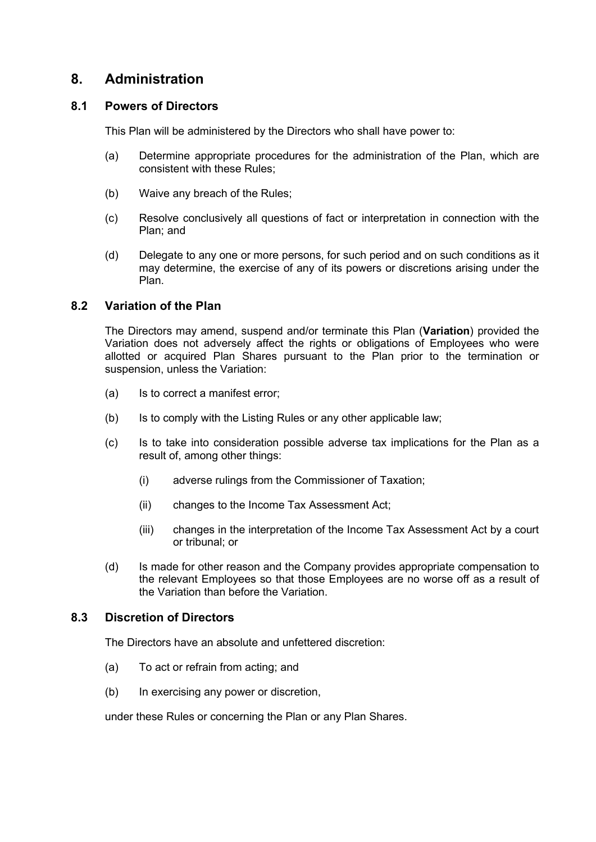## **8. Administration**

#### **8.1 Powers of Directors**

This Plan will be administered by the Directors who shall have power to:

- (a) Determine appropriate procedures for the administration of the Plan, which are consistent with these Rules;
- (b) Waive any breach of the Rules;
- (c) Resolve conclusively all questions of fact or interpretation in connection with the Plan; and
- (d) Delegate to any one or more persons, for such period and on such conditions as it may determine, the exercise of any of its powers or discretions arising under the Plan.

#### **8.2 Variation of the Plan**

The Directors may amend, suspend and/or terminate this Plan (**Variation**) provided the Variation does not adversely affect the rights or obligations of Employees who were allotted or acquired Plan Shares pursuant to the Plan prior to the termination or suspension, unless the Variation:

- (a) Is to correct a manifest error;
- (b) Is to comply with the Listing Rules or any other applicable law;
- (c) Is to take into consideration possible adverse tax implications for the Plan as a result of, among other things:
	- (i) adverse rulings from the Commissioner of Taxation;
	- (ii) changes to the Income Tax Assessment Act;
	- (iii) changes in the interpretation of the Income Tax Assessment Act by a court or tribunal; or
- (d) Is made for other reason and the Company provides appropriate compensation to the relevant Employees so that those Employees are no worse off as a result of the Variation than before the Variation.

#### **8.3 Discretion of Directors**

The Directors have an absolute and unfettered discretion:

- (a) To act or refrain from acting; and
- (b) In exercising any power or discretion,

under these Rules or concerning the Plan or any Plan Shares.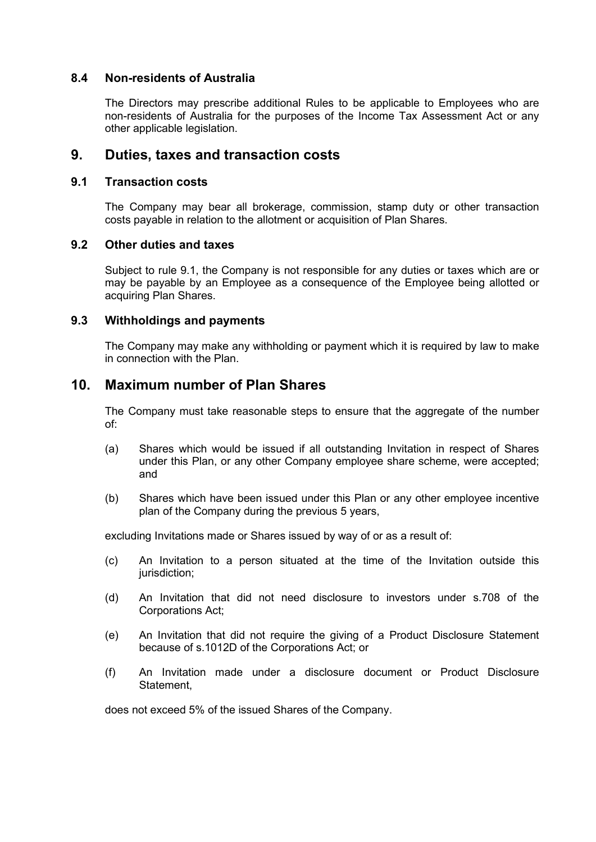#### **8.4 Non-residents of Australia**

The Directors may prescribe additional Rules to be applicable to Employees who are non-residents of Australia for the purposes of the Income Tax Assessment Act or any other applicable legislation.

## **9. Duties, taxes and transaction costs**

#### <span id="page-9-0"></span>**9.1 Transaction costs**

The Company may bear all brokerage, commission, stamp duty or other transaction costs payable in relation to the allotment or acquisition of Plan Shares.

#### **9.2 Other duties and taxes**

Subject to rule [9.1,](#page-9-0) the Company is not responsible for any duties or taxes which are or may be payable by an Employee as a consequence of the Employee being allotted or acquiring Plan Shares.

#### **9.3 Withholdings and payments**

The Company may make any withholding or payment which it is required by law to make in connection with the Plan.

## **10. Maximum number of Plan Shares**

The Company must take reasonable steps to ensure that the aggregate of the number of:

- (a) Shares which would be issued if all outstanding Invitation in respect of Shares under this Plan, or any other Company employee share scheme, were accepted; and
- (b) Shares which have been issued under this Plan or any other employee incentive plan of the Company during the previous 5 years,

excluding Invitations made or Shares issued by way of or as a result of:

- (c) An Invitation to a person situated at the time of the Invitation outside this jurisdiction;
- (d) An Invitation that did not need disclosure to investors under s.708 of the Corporations Act;
- (e) An Invitation that did not require the giving of a Product Disclosure Statement because of s.1012D of the Corporations Act; or
- (f) An Invitation made under a disclosure document or Product Disclosure Statement,

does not exceed 5% of the issued Shares of the Company.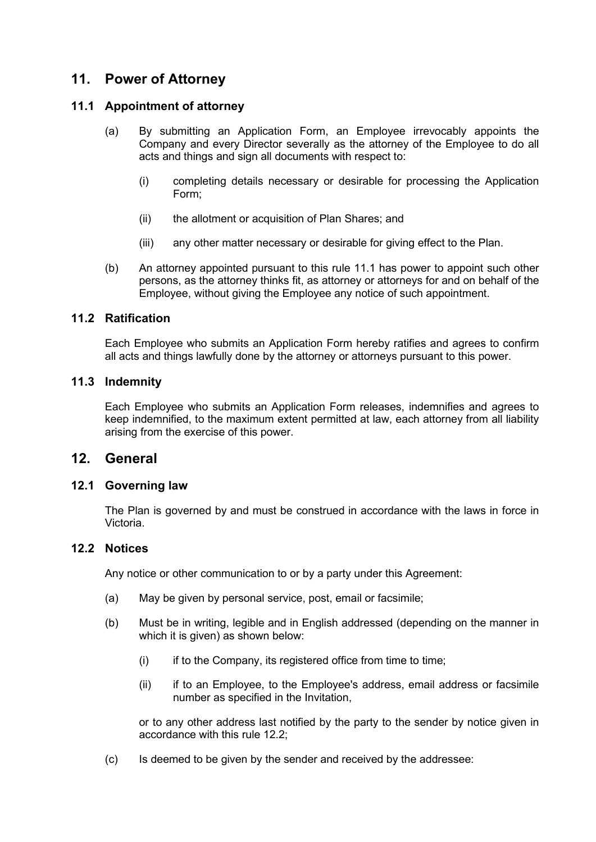## **11. Power of Attorney**

#### <span id="page-10-0"></span>**11.1 Appointment of attorney**

- (a) By submitting an Application Form, an Employee irrevocably appoints the Company and every Director severally as the attorney of the Employee to do all acts and things and sign all documents with respect to:
	- (i) completing details necessary or desirable for processing the Application Form;
	- (ii) the allotment or acquisition of Plan Shares; and
	- (iii) any other matter necessary or desirable for giving effect to the Plan.
- (b) An attorney appointed pursuant to this rule [11.1](#page-10-0) has power to appoint such other persons, as the attorney thinks fit, as attorney or attorneys for and on behalf of the Employee, without giving the Employee any notice of such appointment.

#### **11.2 Ratification**

Each Employee who submits an Application Form hereby ratifies and agrees to confirm all acts and things lawfully done by the attorney or attorneys pursuant to this power.

#### **11.3 Indemnity**

Each Employee who submits an Application Form releases, indemnifies and agrees to keep indemnified, to the maximum extent permitted at law, each attorney from all liability arising from the exercise of this power.

## **12. General**

#### **12.1 Governing law**

The Plan is governed by and must be construed in accordance with the laws in force in Victoria.

#### <span id="page-10-1"></span>**12.2 Notices**

Any notice or other communication to or by a party under this Agreement:

- (a) May be given by personal service, post, email or facsimile;
- (b) Must be in writing, legible and in English addressed (depending on the manner in which it is given) as shown below:
	- (i) if to the Company, its registered office from time to time;
	- (ii) if to an Employee, to the Employee's address, email address or facsimile number as specified in the Invitation,

or to any other address last notified by the party to the sender by notice given in accordance with this rule [12.2;](#page-10-1)

(c) Is deemed to be given by the sender and received by the addressee: